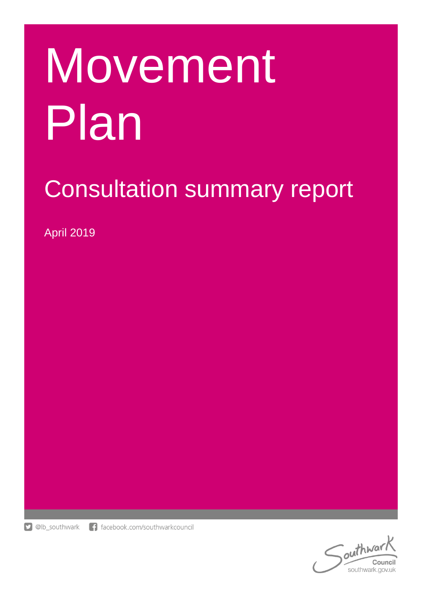# Movement Plan

# Consultation summary report

April 2019



outhway Council southwark.gov.uk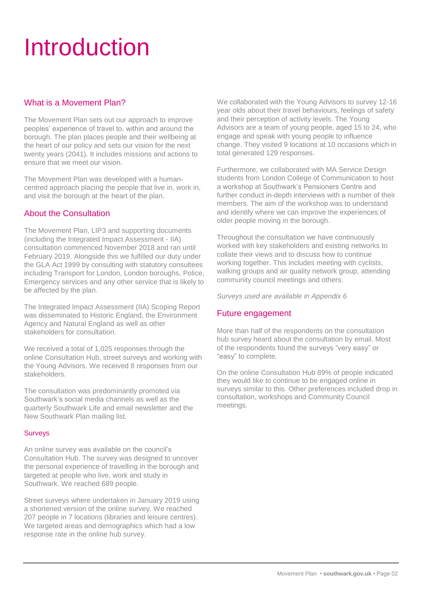### Introduction

#### What is a Movement Plan?

The Movement Plan sets out our approach to improve peoples' experience of travel to, within and around the borough. The plan places people and their wellbeing at the heart of our policy and sets our vision for the next twenty years (2041). It includes missions and actions to ensure that we meet our vision.

The Movement Plan was developed with a humancentred approach placing the people that live in, work in, and visit the borough at the heart of the plan.

#### About the Consultation

The Movement Plan, LIP3 and supporting documents (including the Integrated Impact Assessment - IIA) consultation commenced November 2018 and ran until February 2019. Alongside this we fulfilled our duty under the GLA Act 1999 by consulting with statutory consultees including Transport for London, London boroughs, Police, Emergency services and any other service that is likely to be affected by the plan.

The Integrated Impact Assessment (IIA) Scoping Report was disseminated to Historic England, the Environment Agency and Natural England as well as other stakeholders for consultation.

We received a total of 1,025 responses through the online Consultation Hub, street surveys and working with the Young Advisors. We received 8 responses from our stakeholders.

The consultation was predominantly promoted via Southwark's social media channels as well as the quarterly Southwark Life and email newsletter and the New Southwark Plan mailing list.

#### **Surveys**

An online survey was available on the council's Consultation Hub. The survey was designed to uncover the personal experience of travelling in the borough and targeted at people who live, work and study in Southwark. We reached 689 people.

Street surveys where undertaken in January 2019 using a shortened version of the online survey. We reached 207 people in 7 locations (libraries and leisure centres). We targeted areas and demographics which had a low response rate in the online hub survey.

We collaborated with the Young Advisors to survey 12-16 year olds about their travel behaviours, feelings of safety and their perception of activity levels. The Young Advisors are a team of young people, aged 15 to 24, who engage and speak with young people to influence change. They visited 9 locations at 10 occasions which in total generated 129 responses.

Furthermore, we collaborated with MA Service Design students from London College of Communication to host a workshop at Southwark's Pensioners Centre and further conduct in-depth interviews with a number of their members. The aim of the workshop was to understand and identify where we can improve the experiences of older people moving in the borough.

Throughout the consultation we have continuously worked with key stakeholders and existing networks to collate their views and to discuss how to continue working together. This includes meeting with cyclists, walking groups and air quality network group, attending community council meetings and others.

*Surveys used are available in Appendix 6*

#### Future engagement

More than half of the respondents on the consultation hub survey heard about the consultation by email. Most of the respondents found the surveys "very easy" or "easy" to complete.

On the online Consultation Hub 89% of people indicated they would like to continue to be engaged online in surveys similar to this. Other preferences included drop in consultation, workshops and Community Council meetings.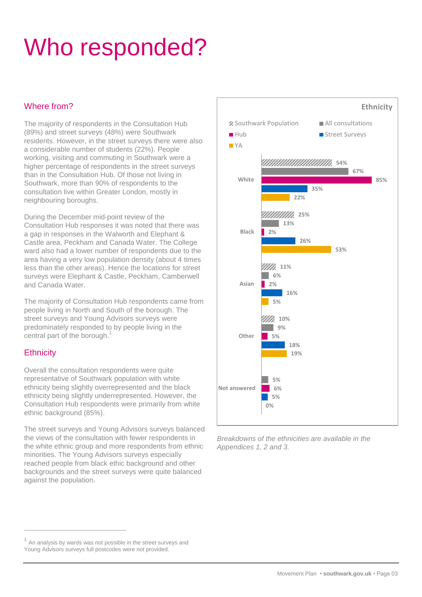### Who responded?

#### Where from?

The majority of respondents in the Consultation Hub (89%) and street surveys (48%) were Southwark residents. However, in the street surveys there were also a considerable number of students (22%). People working, visiting and commuting in Southwark were a higher percentage of respondents in the street surveys than in the Consultation Hub. Of those not living in Southwark, more than 90% of respondents to the consultation live within Greater London, mostly in neighbouring boroughs.

During the December mid-point review of the Consultation Hub responses it was noted that there was a gap in responses in the Walworth and Elephant & Castle area, Peckham and Canada Water. The College ward also had a lower number of respondents due to the area having a very low population density (about 4 times less than the other areas). Hence the locations for street surveys were Elephant & Castle, Peckham, Camberwell and Canada Water.

The majority of Consultation Hub respondents came from people living in North and South of the borough. The street surveys and Young Advisors surveys were predominately responded to by people living in the central part of the borough. $<sup>1</sup>$ </sup>

#### **Ethnicity**

 $\overline{a}$ 

Overall the consultation respondents were quite representative of Southwark population with white ethnicity being slightly overrepresented and the black ethnicity being slightly underrepresented. However, the Consultation Hub respondents were primarily from white ethnic background (85%).

The street surveys and Young Advisors surveys balanced the views of the consultation with fewer respondents in the white ethnic group and more respondents from ethnic minorities. The Young Advisors surveys especially reached people from black ethic background and other backgrounds and the street surveys were quite balanced against the population.



*Breakdowns of the ethnicities are available in the Appendices 1, 2 and 3.*

<sup>1</sup> An analysis by wards was not possible in the street surveys and Young Advisors surveys full postcodes were not provided.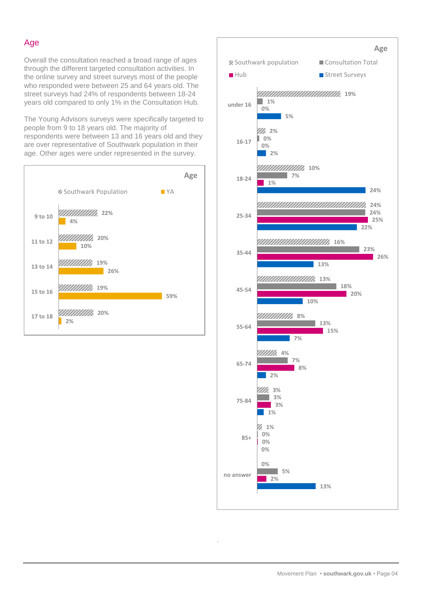#### Age

Overall the consultation reached a broad range of ages through the different targeted consultation activities. In the online survey and street surveys most of the people who responded were between 25 and 64 years old. The street surveys had 24% of respondents between 18-24 years old compared to only 1% in the Consultation Hub.

The Young Advisors surveys were specifically targeted to people from 9 to 18 years old. The majority of respondents were between 13 and 16 years old and they are over representative of Southwark population in their age. Other ages were under represented in the survey.





.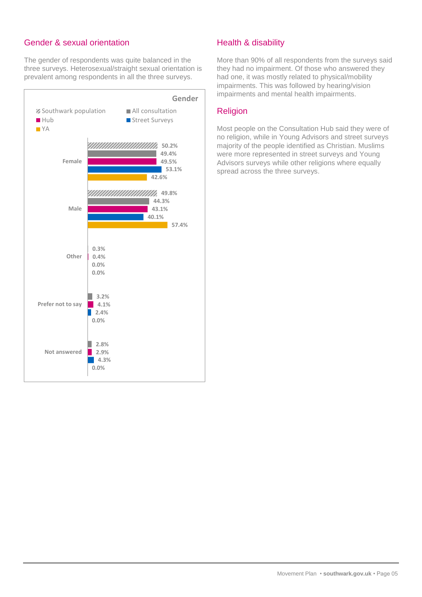#### Gender & sexual orientation

The gender of respondents was quite balanced in the three surveys. Heterosexual/straight sexual orientation is prevalent among respondents in all the three surveys.



#### Health & disability

More than 90% of all respondents from the surveys said they had no impairment. Of those who answered they had one, it was mostly related to physical/mobility impairments. This was followed by hearing/vision impairments and mental health impairments.

#### Religion

Most people on the Consultation Hub said they were of no religion, while in Young Advisors and street surveys majority of the people identified as Christian. Muslims were more represented in street surveys and Young Advisors surveys while other religions where equally spread across the three surveys.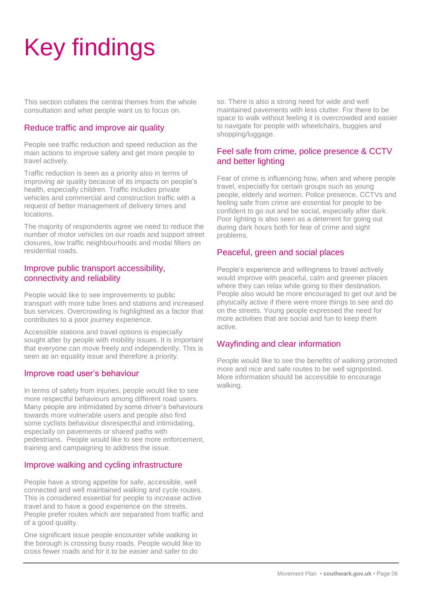# Key findings

This section collates the central themes from the whole consultation and what people want us to focus on.

#### Reduce traffic and improve air quality

People see traffic reduction and speed reduction as the main actions to improve safety and get more people to travel actively.

Traffic reduction is seen as a priority also in terms of improving air quality because of its impacts on people's health, especially children. Traffic includes private vehicles and commercial and construction traffic with a request of better management of delivery times and locations.

The majority of respondents agree we need to reduce the number of motor vehicles on our roads and support street closures, low traffic neighbourhoods and modal filters on residential roads.

#### Improve public transport accessibility, connectivity and reliability

People would like to see improvements to public transport with more tube lines and stations and increased bus services. Overcrowding is highlighted as a factor that contributes to a poor journey experience.

Accessible stations and travel options is especially sought after by people with mobility issues. It is important that everyone can move freely and independently. This is seen as an equality issue and therefore a priority.

#### Improve road user's behaviour

In terms of safety from injuries, people would like to see more respectful behaviours among different road users. Many people are intimidated by some driver's behaviours towards more vulnerable users and people also find some cyclists behaviour disrespectful and intimidating, especially on pavements or shared paths with pedestrians. People would like to see more enforcement, training and campaigning to address the issue.

#### Improve walking and cycling infrastructure

People have a strong appetite for safe, accessible, well connected and well maintained walking and cycle routes. This is considered essential for people to increase active travel and to have a good experience on the streets. People prefer routes which are separated from traffic and of a good quality.

One significant issue people encounter while walking in the borough is crossing busy roads. People would like to cross fewer roads and for it to be easier and safer to do

so. There is also a strong need for wide and well maintained pavements with less clutter. For there to be space to walk without feeling it is overcrowded and easier to navigate for people with wheelchairs, buggies and shopping/luggage.

#### Feel safe from crime, police presence & CCTV and better lighting

Fear of crime is influencing how, when and where people travel, especially for certain groups such as young people, elderly and women. Police presence, CCTVs and feeling safe from crime are essential for people to be confident to go out and be social, especially after dark. Poor lighting is also seen as a deterrent for going out during dark hours both for fear of crime and sight problems.

#### Peaceful, green and social places

People's experience and willingness to travel actively would improve with peaceful, calm and greener places where they can relax while going to their destination. People also would be more encouraged to get out and be physically active if there were more things to see and do on the streets. Young people expressed the need for more activities that are social and fun to keep them active.

#### Wayfinding and clear information

People would like to see the benefits of walking promoted more and nice and safe routes to be well signposted. More information should be accessible to encourage walking.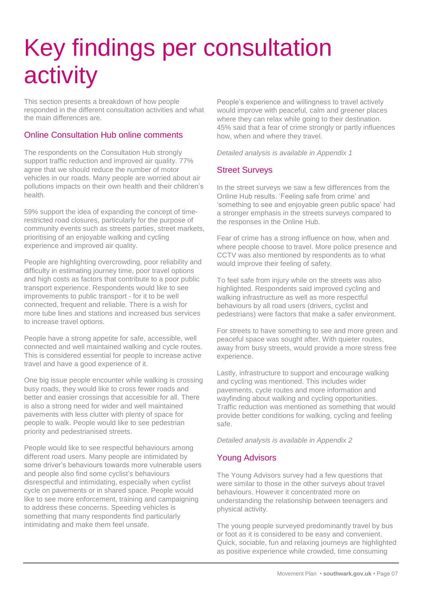# Key findings per consultation activity

This section presents a breakdown of how people responded in the different consultation activities and what the main differences are.

#### Online Consultation Hub online comments

The respondents on the Consultation Hub strongly support traffic reduction and improved air quality. 77% agree that we should reduce the number of motor vehicles in our roads. Many people are worried about air pollutions impacts on their own health and their children's health.

59% support the idea of expanding the concept of timerestricted road closures, particularly for the purpose of community events such as streets parties, street markets, prioritising of an enjoyable walking and cycling experience and improved air quality.

People are highlighting overcrowding, poor reliability and difficulty in estimating journey time, poor travel options and high costs as factors that contribute to a poor public transport experience. Respondents would like to see improvements to public transport - for it to be well connected, frequent and reliable. There is a wish for more tube lines and stations and increased bus services to increase travel options.

People have a strong appetite for safe, accessible, well connected and well maintained walking and cycle routes. This is considered essential for people to increase active travel and have a good experience of it.

One big issue people encounter while walking is crossing busy roads, they would like to cross fewer roads and better and easier crossings that accessible for all. There is also a strong need for wider and well maintained pavements with less clutter with plenty of space for people to walk. People would like to see pedestrian priority and pedestrianised streets.

People would like to see respectful behaviours among different road users. Many people are intimidated by some driver's behaviours towards more vulnerable users and people also find some cyclist's behaviours disrespectful and intimidating, especially when cyclist cycle on pavements or in shared space. People would like to see more enforcement, training and campaigning to address these concerns. Speeding vehicles is something that many respondents find particularly intimidating and make them feel unsafe.

People's experience and willingness to travel actively would improve with peaceful, calm and greener places where they can relax while going to their destination. 45% said that a fear of crime strongly or partly influences how, when and where they travel.

*Detailed analysis is available in Appendix 1*

#### Street Surveys

In the street surveys we saw a few differences from the Online Hub results. 'Feeling safe from crime' and 'something to see and enjoyable green public space' had a stronger emphasis in the streets surveys compared to the responses in the Online Hub.

Fear of crime has a strong influence on how, when and where people choose to travel. More police presence and CCTV was also mentioned by respondents as to what would improve their feeling of safety.

To feel safe from injury while on the streets was also highlighted. Respondents said improved cycling and walking infrastructure as well as more respectful behaviours by all road users (drivers, cyclist and pedestrians) were factors that make a safer environment.

For streets to have something to see and more green and peaceful space was sought after. With quieter routes, away from busy streets, would provide a more stress free experience.

Lastly, infrastructure to support and encourage walking and cycling was mentioned. This includes wider pavements, cycle routes and more information and wayfinding about walking and cycling opportunities. Traffic reduction was mentioned as something that would provide better conditions for walking, cycling and feeling safe.

*Detailed analysis is available in Appendix 2*

#### Young Advisors

The Young Advisors survey had a few questions that were similar to those in the other surveys about travel behaviours. However it concentrated more on understanding the relationship between teenagers and physical activity.

The young people surveyed predominantly travel by bus or foot as it is considered to be easy and convenient. Quick, sociable, fun and relaxing journeys are highlighted as positive experience while crowded, time consuming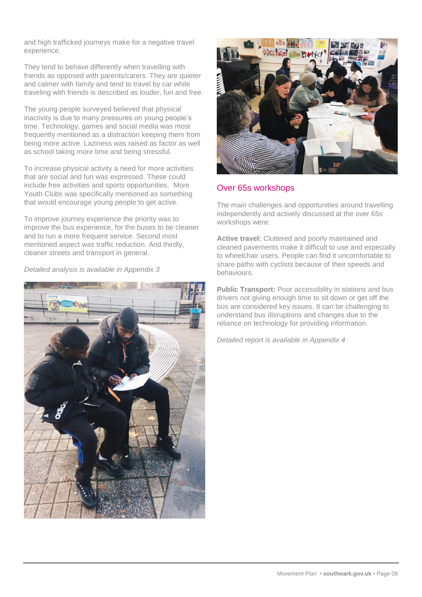and high trafficked journeys make for a negative travel experience.

They tend to behave differently when travelling with friends as opposed with parents/carers. They are quieter and calmer with family and tend to travel by car while traveling with friends is described as louder, fun and free.

The young people surveyed believed that physical inactivity is due to many pressures on young people's time. Technology, games and social media was most frequently mentioned as a distraction keeping them from being more active. Laziness was raised as factor as well as school taking more time and being stressful.

To increase physical activity a need for more activities that are social and fun was expressed. These could include free activities and sports opportunities. More Youth Clubs was specifically mentioned as something that would encourage young people to get active.

To improve journey experience the priority was to improve the bus experience, for the buses to be cleaner and to run a more frequent service. Second most mentioned aspect was traffic reduction. And thirdly, cleaner streets and transport in general.

*Detailed analysis is available in Appendix 3*





#### Over 65s workshops

The main challenges and opportunities around travelling independently and actively discussed at the over 65s workshops were:

**Active travel:** Cluttered and poorly maintained and cleaned pavements make it difficult to use and especially to wheelchair users. People can find it uncomfortable to share paths with cyclists because of their speeds and behaviours.

**Public Transport:** Poor accessibility in stations and bus drivers not giving enough time to sit down or get off the bus are considered key issues. It can be challenging to understand bus disruptions and changes due to the reliance on technology for providing information.

*Detailed report is available in Appendix 4*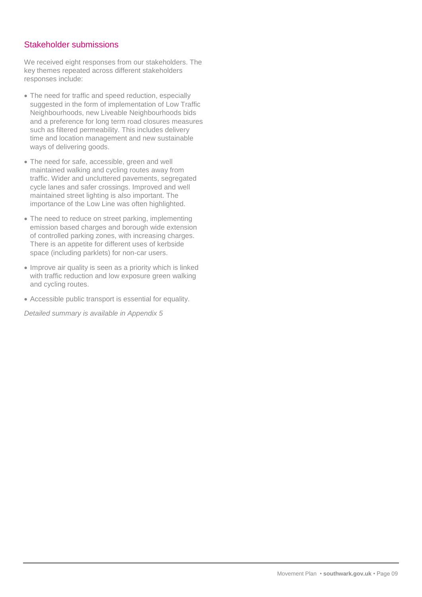#### Stakeholder submissions

We received eight responses from our stakeholders. The key themes repeated across different stakeholders responses include:

- The need for traffic and speed reduction, especially suggested in the form of implementation of Low Traffic Neighbourhoods, new Liveable Neighbourhoods bids and a preference for long term road closures measures such as filtered permeability. This includes delivery time and location management and new sustainable ways of delivering goods.
- The need for safe, accessible, green and well maintained walking and cycling routes away from traffic. Wider and uncluttered pavements, segregated cycle lanes and safer crossings. Improved and well maintained street lighting is also important. The importance of the Low Line was often highlighted.
- The need to reduce on street parking, implementing emission based charges and borough wide extension of controlled parking zones, with increasing charges. There is an appetite for different uses of kerbside space (including parklets) for non-car users.
- Improve air quality is seen as a priority which is linked with traffic reduction and low exposure green walking and cycling routes.
- Accessible public transport is essential for equality.

*Detailed summary is available in Appendix 5*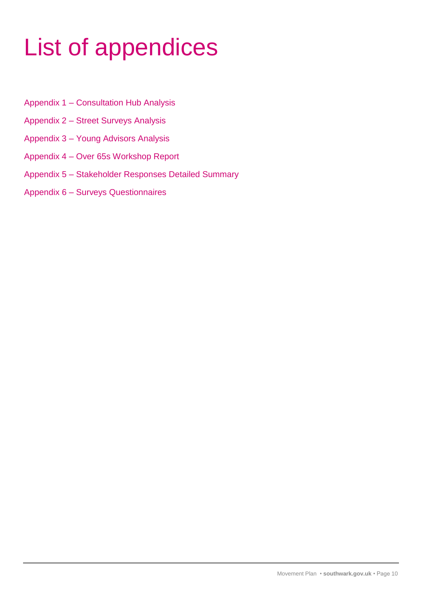# List of appendices

- Appendix 1 Consultation Hub Analysis
- Appendix 2 Street Surveys Analysis
- Appendix 3 Young Advisors Analysis
- Appendix 4 Over 65s Workshop Report
- Appendix 5 Stakeholder Responses Detailed Summary
- Appendix 6 Surveys Questionnaires